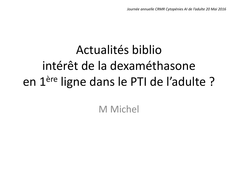# Actualités biblio intérêt de la dexaméthasone en 1ère ligne dans le PTI de l'adulte ?

M Michel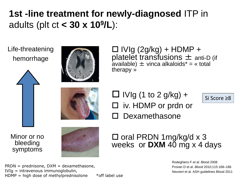## **1st -line treatment for newly-diagnosed** ITP in adults (plt ct **< 30 x 10<sup>9</sup> /L**):

Life-threatening hemorrhage





 $\Box$  IVIg (2g/kg) + HDMP + platelet transfusions  $\pm$  anti-D (if available)  $\pm$  vinca alkaloids<sup>\*</sup> = « total therapy »

 $\Box$  IVIg (1 to 2 g/kg) +

 $\square$  iv. HDMP or prdn or

Dexamethasone



Minor or no bleeding symptoms



 $\square$  oral PRDN 1mg/kg/d x 3 weeks or **DXM** 40 mg x 4 days

> Rodeghiero F *et al*. Blood 2008 Provan D et al. *Blood* 2010;115:168–186 Neunert et al. ASH guidelines Blood 2011

Si Score ≥8

 $PRDN = prednisone, DXM = dexamethasone,$ IVIg = intravenous immunoglobulin, HDMP = high dose of methylprednisolone  $*$  off label use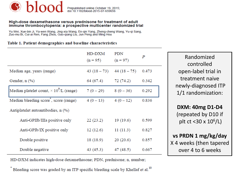

### High-dose dexamethasone versus prednisone for treatment of adult<br>immune thrombocytopenia: a prospective multicenter randomized trial

Yu Wei, Xue-bin Ji, Ya-wen Wang, Jing-xia Wang, En-qin Yang, Zheng-cheng Wang, Yu-qi Sang, Zuo-mu Bi, Cui-ai Ren, Fang Zhou, Guo-qiang Liu, Jun Peng and Ming Hou

#### Table 1. Patient demographics and baseline characteristics

|                                                            | HD-DXM<br>$(n = 95)$ | <b>PDN</b><br>$(n = 97)$ | Ρ     |
|------------------------------------------------------------|----------------------|--------------------------|-------|
| Median age, years (range)                                  | $43(18-73)$          | $44(18-75)$              | 0.473 |
| Gender, $n$ $(\% )$                                        | 64 (67.4)            | 72 (74.2)                | 0.342 |
| Median platelet count, $\times$ 10 <sup>9</sup> /L (range) | $7(0-29)$            | $8(0-36)$                | 0.292 |
| Median bleeding score, score (range)                       | $4(0-13)$            | $4(0-12)$                | 0.836 |
| Antiplatelet autoantibodies, n (%)                         |                      |                          |       |
| Anti-GPIIb/IIIa positive only                              | 22(23.2)             | 19 (19.6)                | 0.599 |
| Anti-GPIb/IX positive only                                 | 12(12.6)             | 11(11.3)                 | 0.827 |
| Double positive                                            | 18 (18.9)            | 20(20.6)                 | 0.857 |
| Double negative                                            | 43 (45.3)            | 47 (48.5)                | 0.667 |

Randomized controlled open-label trial in treatment naive newly-diagnosed ITP 1/1 randomization:

**DXM: 40mg D1-D4** (repeated by D10 if plt ct <30 x 10<sup>6</sup>/L)

**vs PRDN 1 mg/kg/day** X 4 weeks (then tapered over 4 to 6 weeks

HD-DXM indicates high-dose dexamethasone; PDN, prednisone; n, number;

Bleeding score was graded by an ITP specific bleeding scale by Khellaf et al.<sup>10</sup>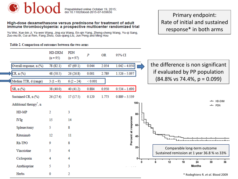

Prepublished online October 19, 2015;<br>doi:10.1182/blood-2015-07-659656

#### High-dose dexamethasone versus prednisone for treatment of adult immune thrombocytopenia: a prospective multicenter randomized trial

Yu Wei, Xue-bin Ji, Ya-wen Wang, Jing-xia Wang, En-qin Yang, Zheng-cheng Wang, Yu-qi Sang, Zuo-mu Bi, Cui-ai Ren, Fang Zhou, Guo-giang Liu, Jun Peng and Ming Hou

Table 2. Comparison of outcomes between the two arms

Primary endpoint: Rate of initial and sustained response\* in both arms